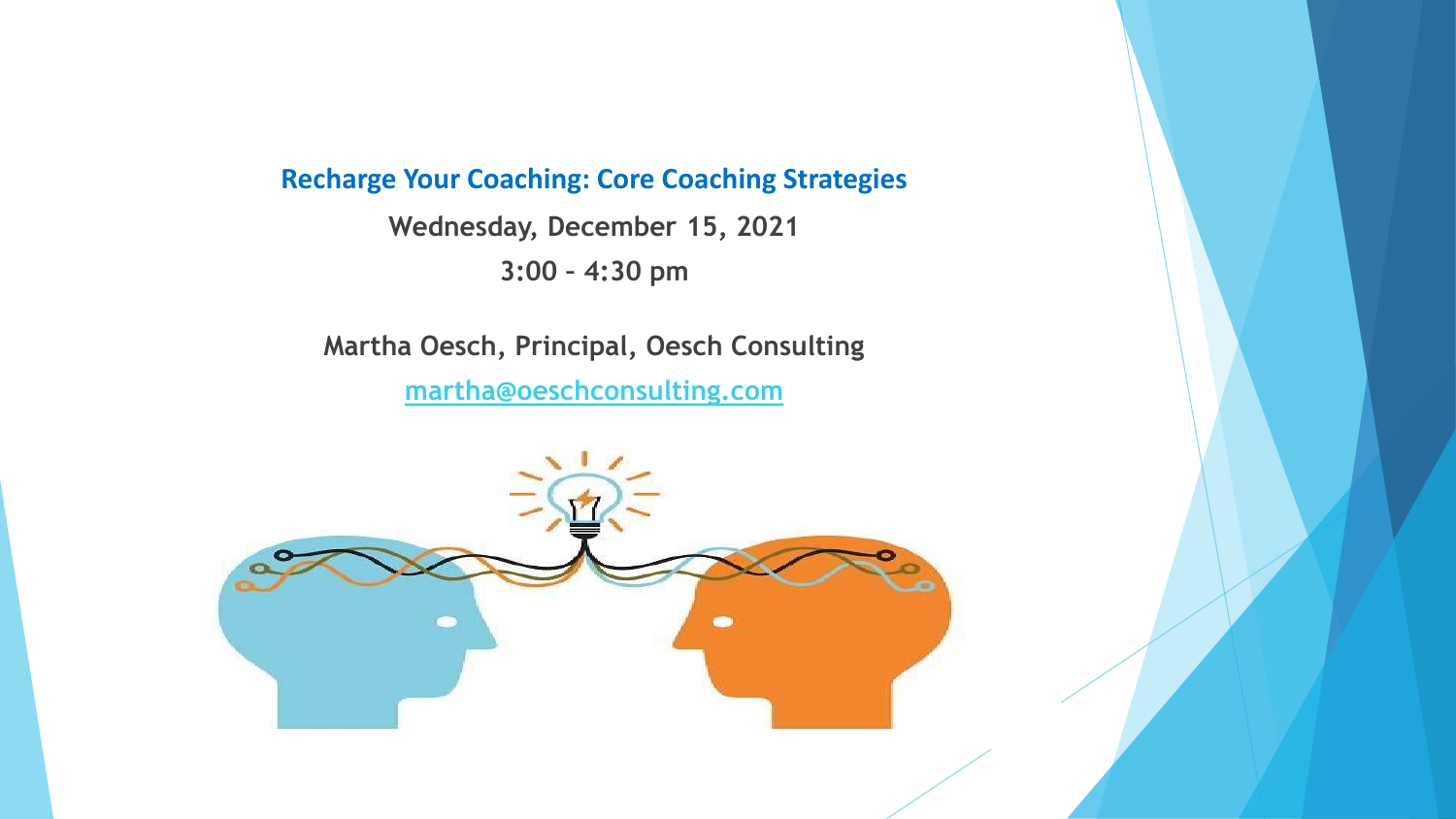#### **Recharge Your Coaching: Core Coaching Strategies**

**Wednesday, December 15, 2021 3:00 – 4:30 pm**

**Martha Oesch, Principal, Oesch Consulting [martha@oeschconsulting.com](mailto:martha@oeschconsulting.com)**

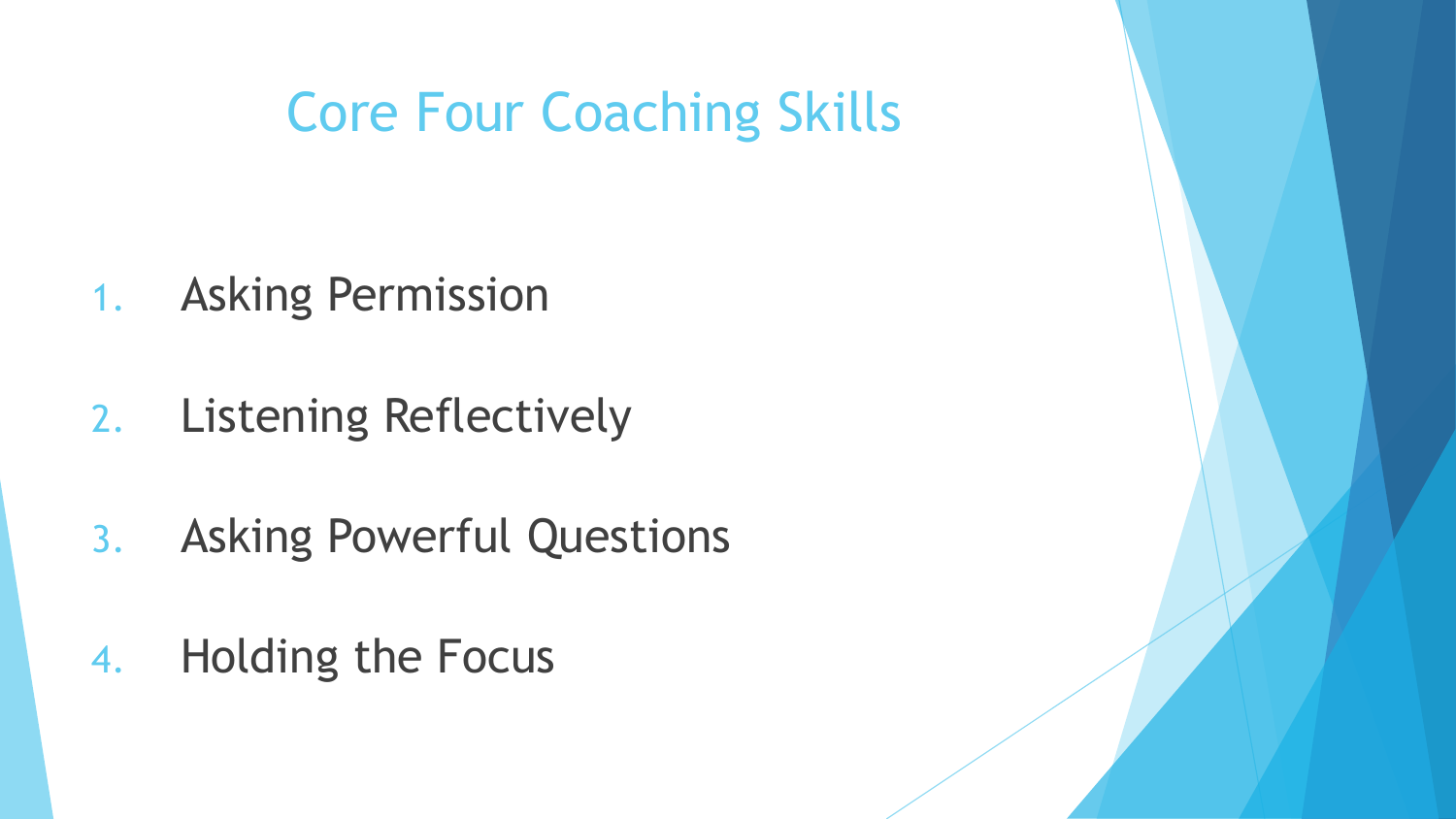# Core Four Coaching Skills

- 1. Asking Permission
- 2. Listening Reflectively
- 3. Asking Powerful Questions
- 4. Holding the Focus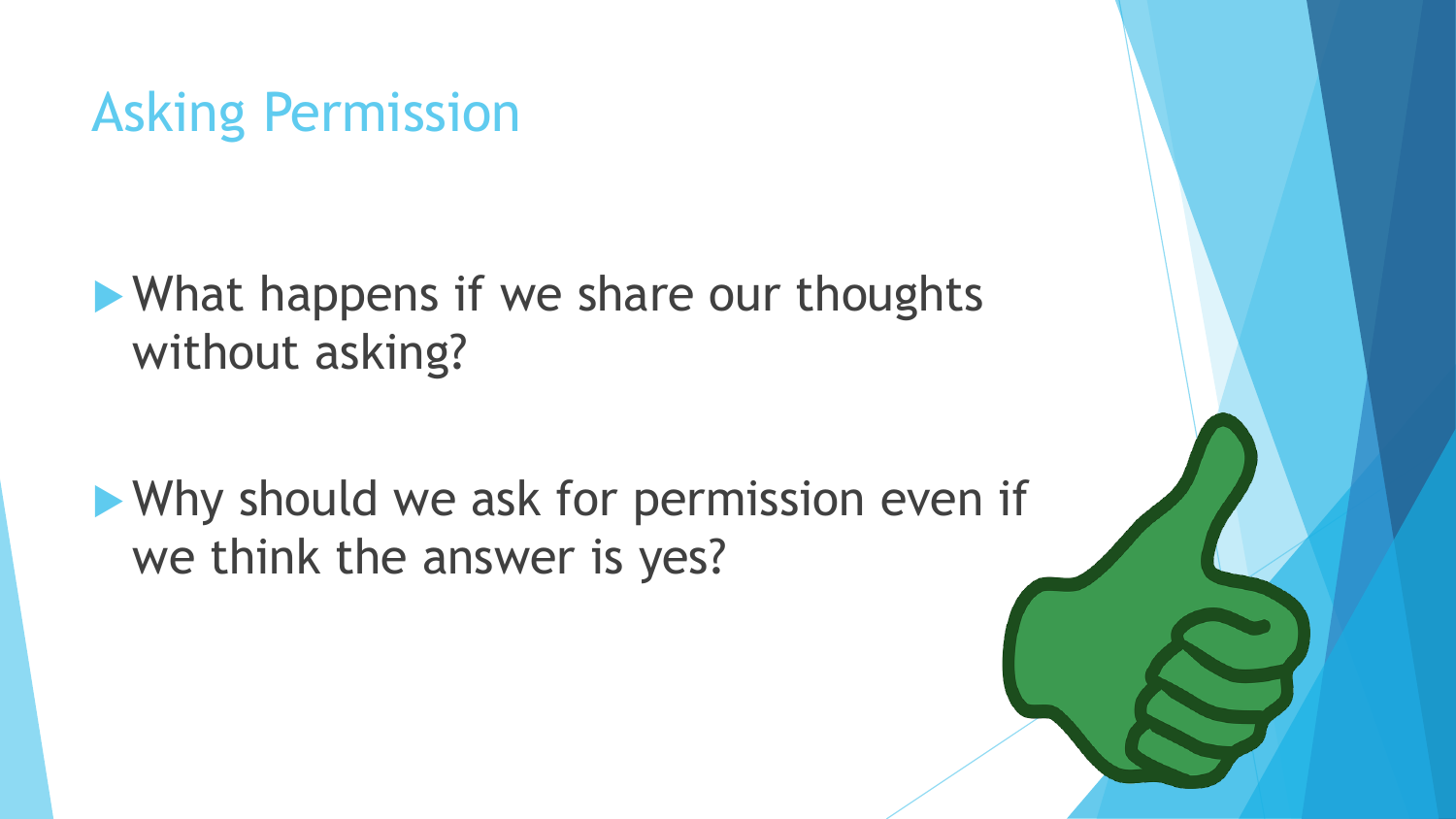#### Asking Permission

What happens if we share our thoughts without asking?

Why should we ask for permission even if we think the answer is yes?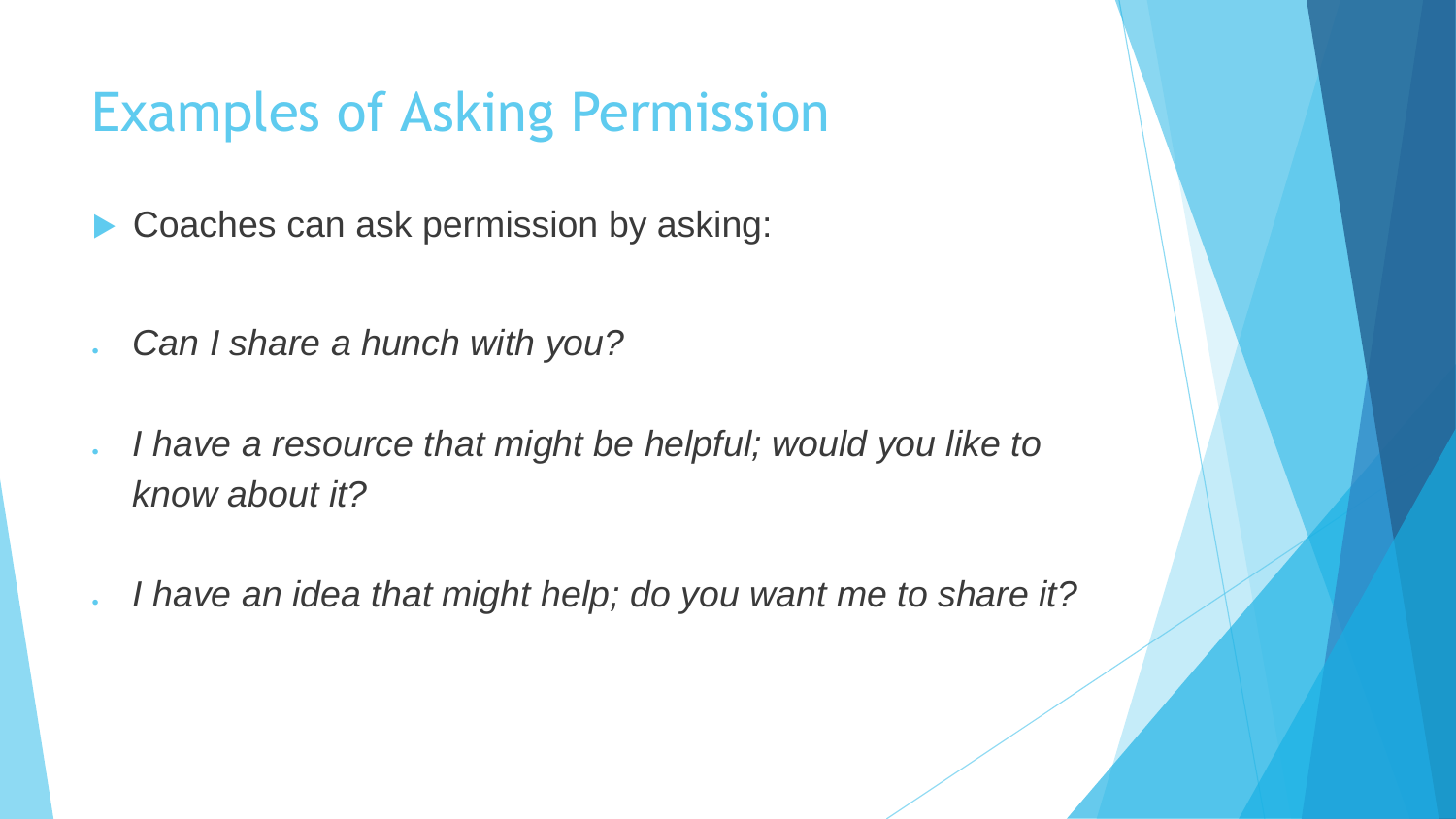# Examples of Asking Permission

- Coaches can ask permission by asking:
- *Can I share a hunch with you?*
- *I have a resource that might be helpful; would you like to know about it?*
- *I have an idea that might help; do you want me to share it?*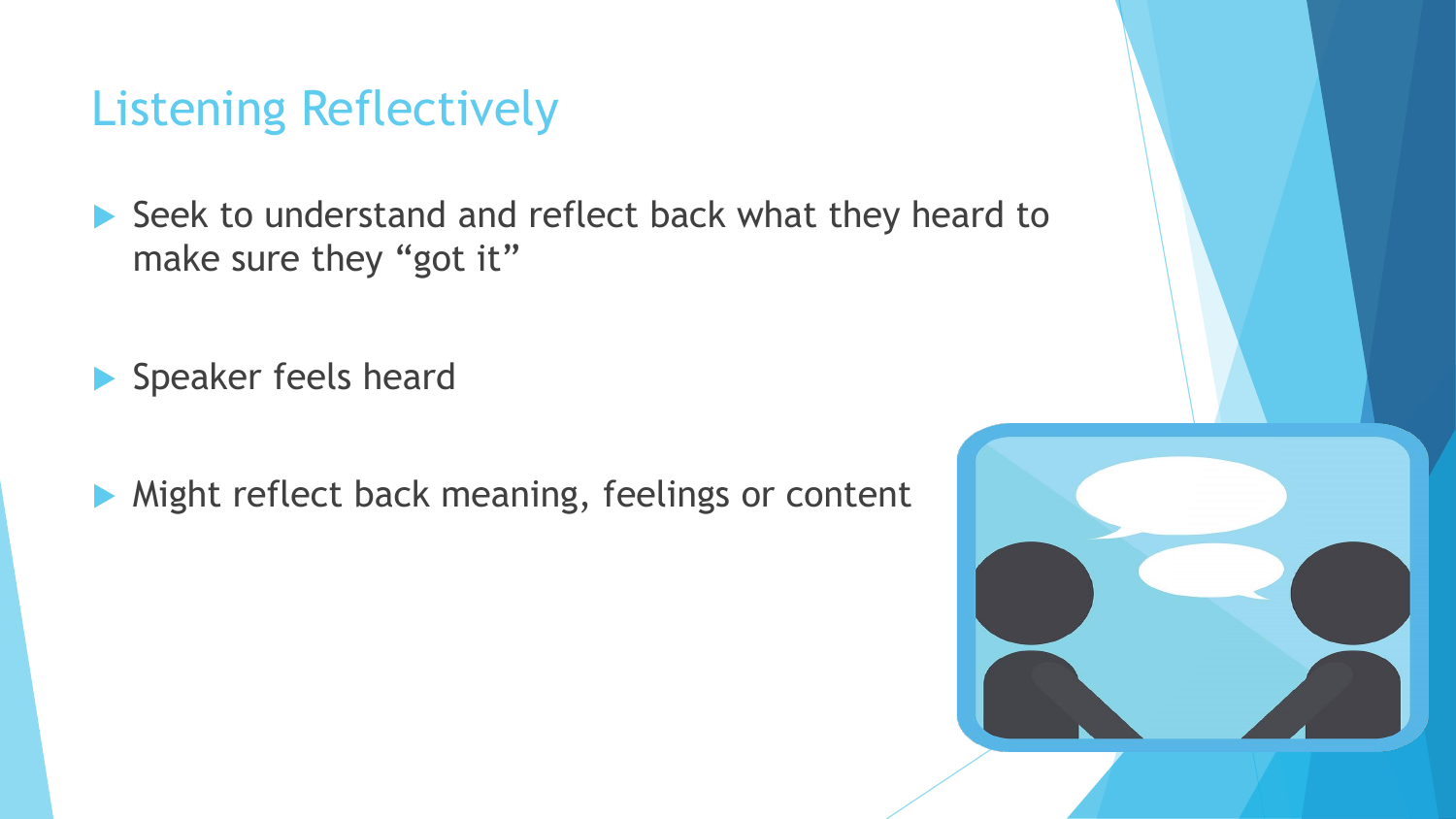#### Listening Reflectively

Seek to understand and reflect back what they heard to make sure they "got it"

Speaker feels heard

Might reflect back meaning, feelings or content

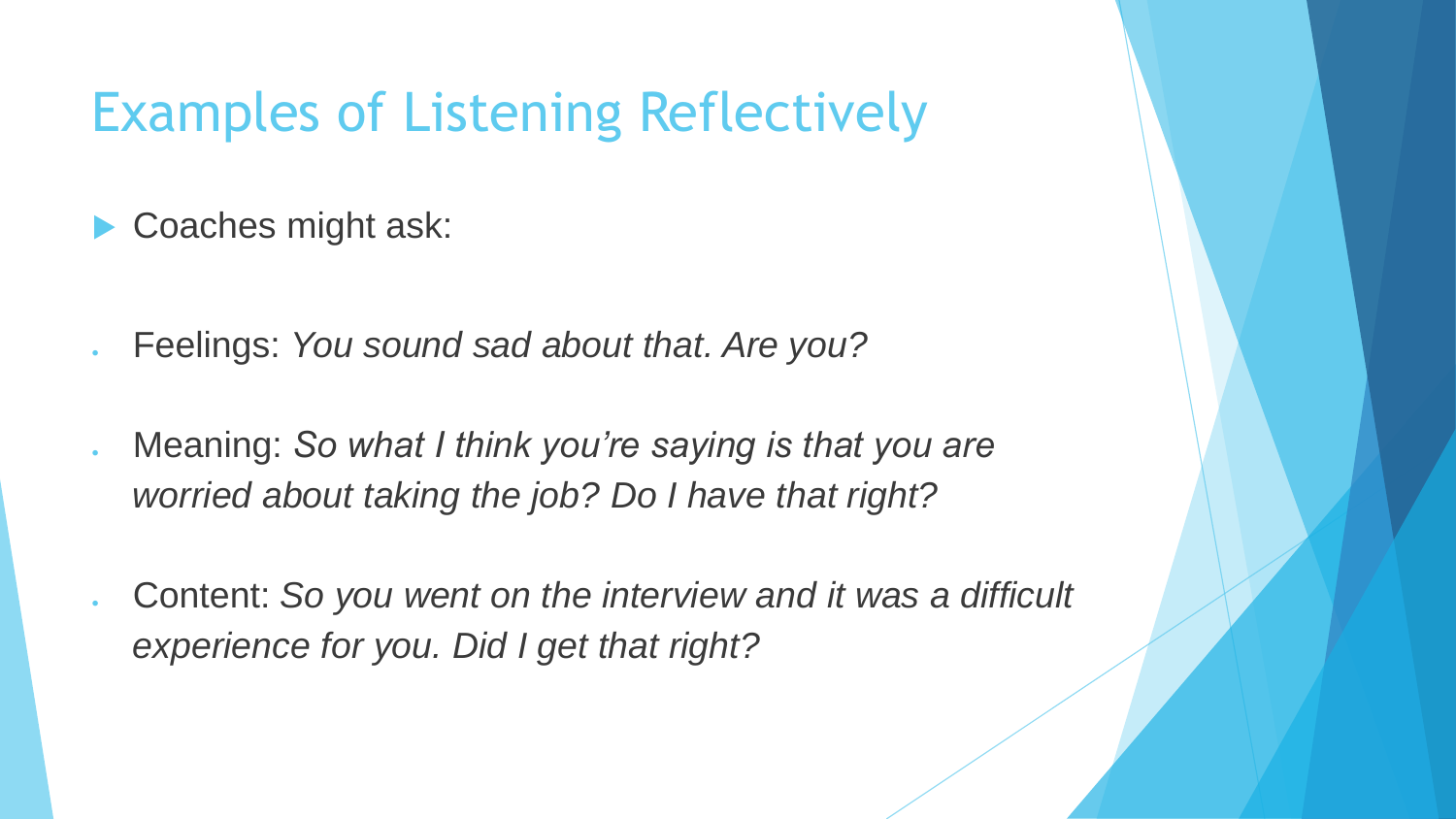# Examples of Listening Reflectively

- Coaches might ask:
- Feelings: *You sound sad about that. Are you?*
- Meaning: *So what I think you're saying is that you are worried about taking the job? Do I have that right?*
- Content: *So you went on the interview and it was a difficult experience for you. Did I get that right?*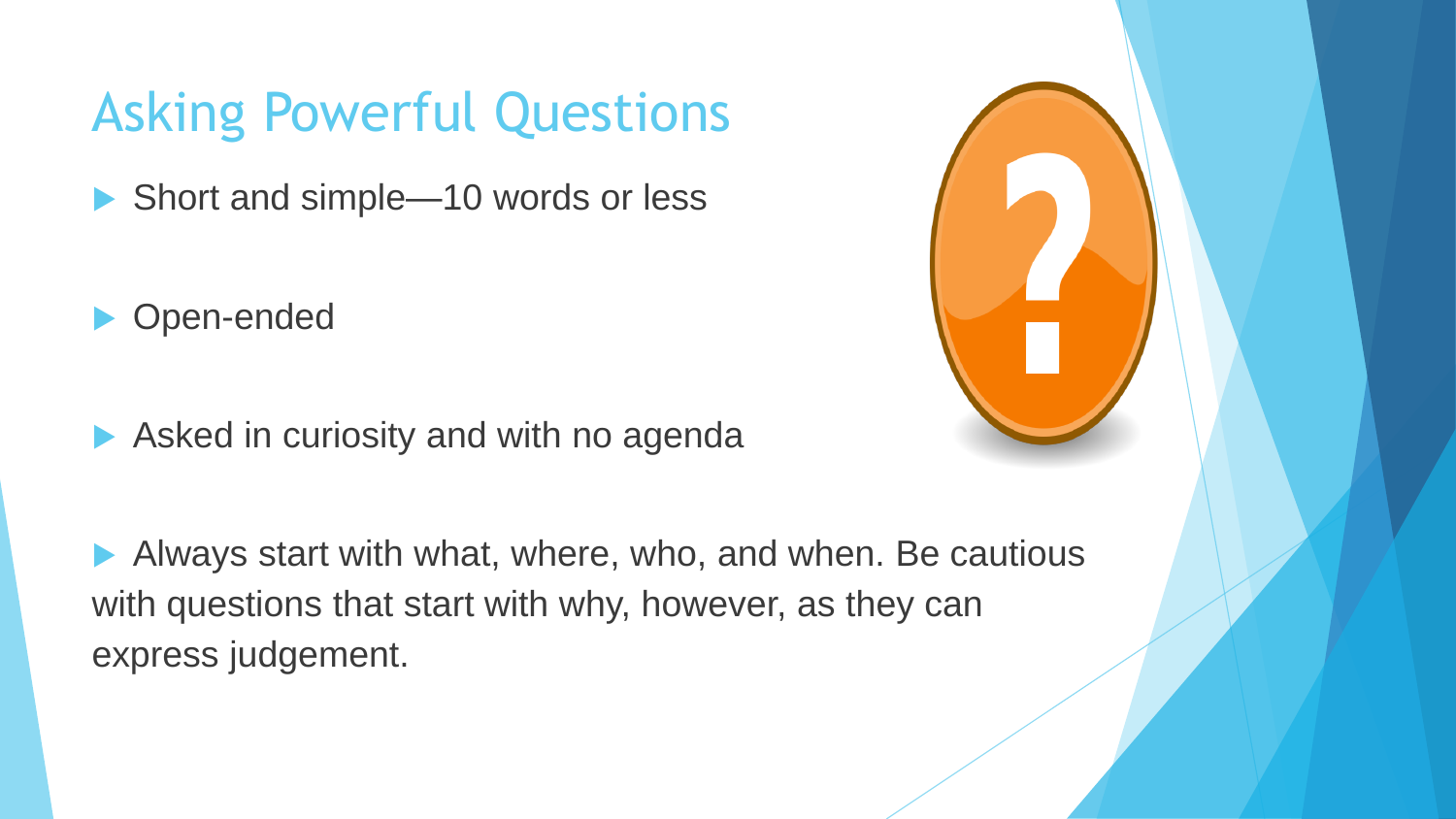# Asking Powerful Questions

▶ Short and simple—10 words or less

Open-ended

Asked in curiosity and with no agenda

 Always start with what, where, who, and when. Be cautious with questions that start with why, however, as they can express judgement.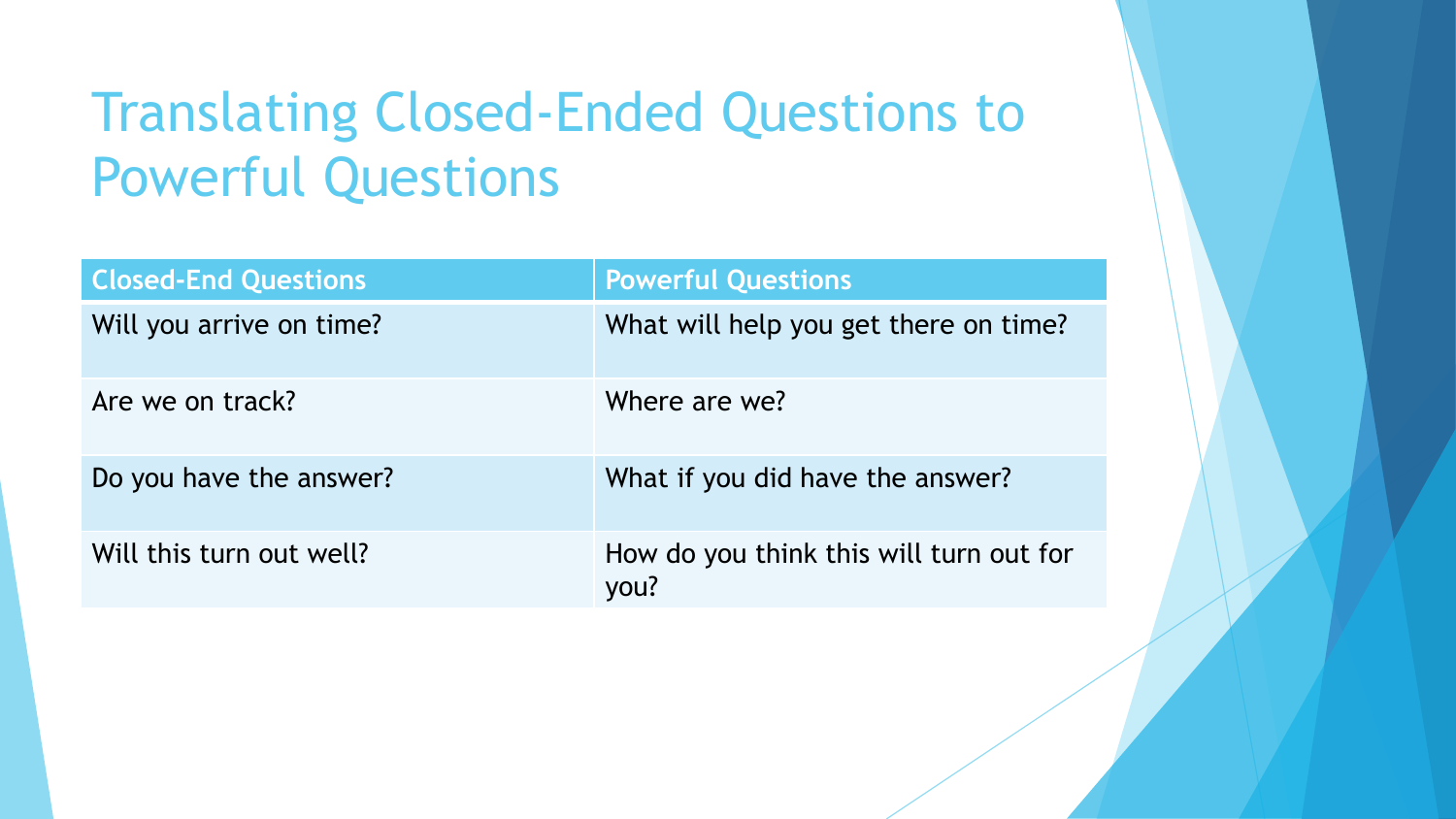# Translating Closed-Ended Questions to Powerful Questions

| <b>Closed-End Questions</b> | <b>Powerful Questions</b>                       |
|-----------------------------|-------------------------------------------------|
| Will you arrive on time?    | What will help you get there on time?           |
| Are we on track?            | Where are we?                                   |
| Do you have the answer?     | What if you did have the answer?                |
| Will this turn out well?    | How do you think this will turn out for<br>you? |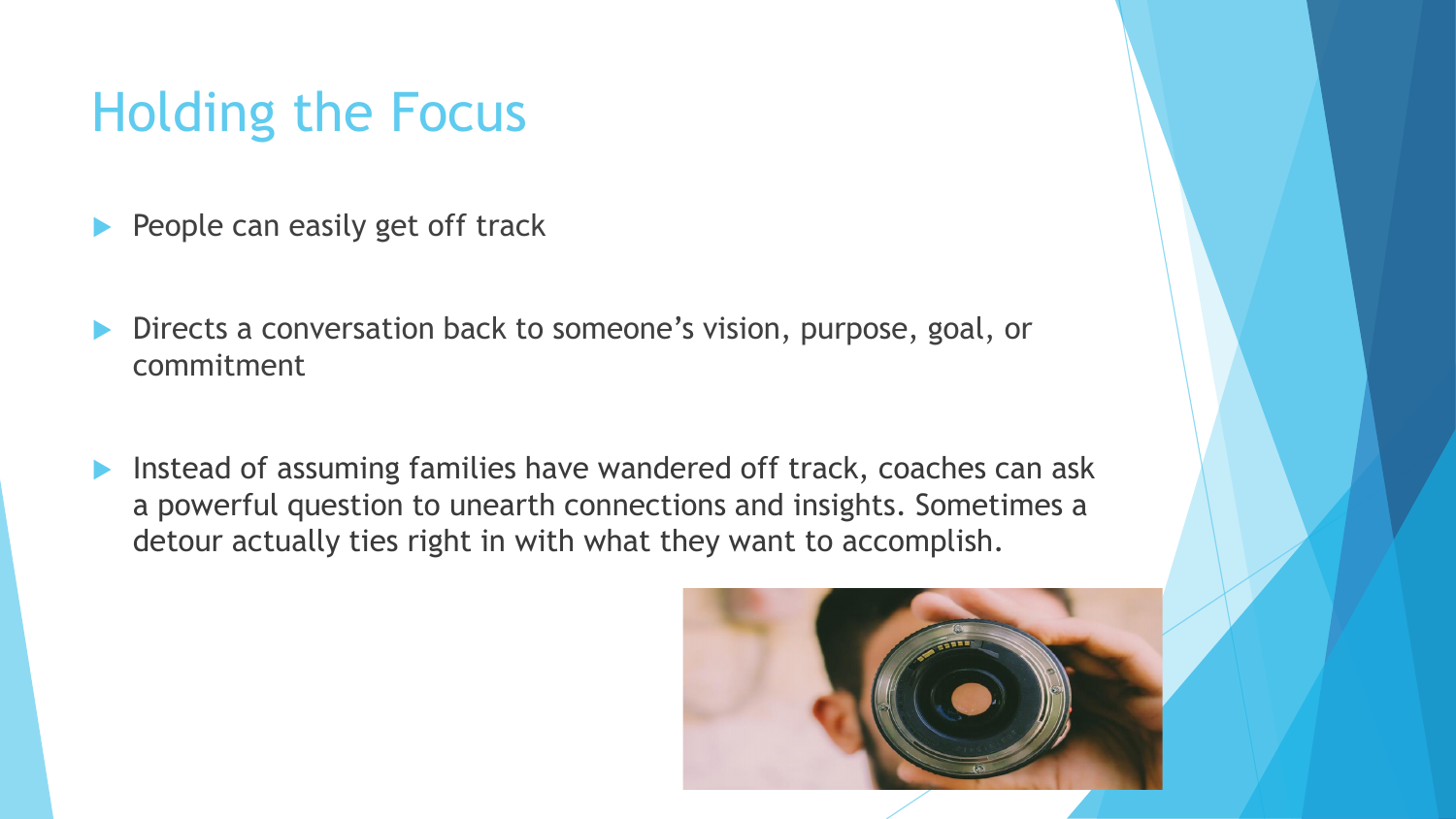# Holding the Focus

- People can easily get off track
- Directs a conversation back to someone's vision, purpose, goal, or commitment
- **Instead of assuming families have wandered off track, coaches can ask** a powerful question to unearth connections and insights. Sometimes a detour actually ties right in with what they want to accomplish.